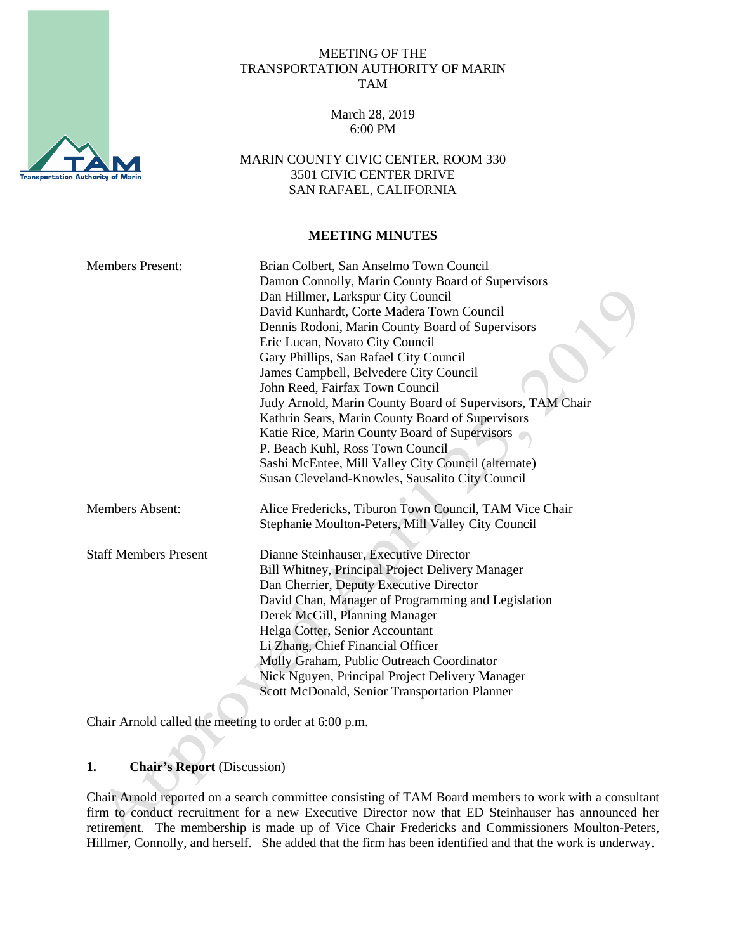

#### MEETING OF THE TRANSPORTATION AUTHORITY OF MARIN TAM

March 28, 2019 6:00 PM

MARIN COUNTY CIVIC CENTER, ROOM 330 3501 CIVIC CENTER DRIVE SAN RAFAEL, CALIFORNIA

#### **MEETING MINUTES**

| <b>Members Present:</b>      | Brian Colbert, San Anselmo Town Council                   |
|------------------------------|-----------------------------------------------------------|
|                              | Damon Connolly, Marin County Board of Supervisors         |
|                              | Dan Hillmer, Larkspur City Council                        |
|                              | David Kunhardt, Corte Madera Town Council                 |
|                              | Dennis Rodoni, Marin County Board of Supervisors          |
|                              | Eric Lucan, Novato City Council                           |
|                              | Gary Phillips, San Rafael City Council                    |
|                              | James Campbell, Belvedere City Council                    |
|                              | John Reed, Fairfax Town Council                           |
|                              | Judy Arnold, Marin County Board of Supervisors, TAM Chair |
|                              | Kathrin Sears, Marin County Board of Supervisors          |
|                              | Katie Rice, Marin County Board of Supervisors             |
|                              | P. Beach Kuhl, Ross Town Council                          |
|                              | Sashi McEntee, Mill Valley City Council (alternate)       |
|                              | Susan Cleveland-Knowles, Sausalito City Council           |
| <b>Members Absent:</b>       | Alice Fredericks, Tiburon Town Council, TAM Vice Chair    |
|                              | Stephanie Moulton-Peters, Mill Valley City Council        |
| <b>Staff Members Present</b> | Dianne Steinhauser, Executive Director                    |
|                              | Bill Whitney, Principal Project Delivery Manager          |
|                              | Dan Cherrier, Deputy Executive Director                   |
|                              | David Chan, Manager of Programming and Legislation        |
|                              | Derek McGill, Planning Manager                            |
|                              | Helga Cotter, Senior Accountant                           |
|                              | Li Zhang, Chief Financial Officer                         |
|                              | Molly Graham, Public Outreach Coordinator                 |
|                              | Nick Nguyen, Principal Project Delivery Manager           |
|                              | Scott McDonald, Senior Transportation Planner             |
|                              |                                                           |

Chair Arnold called the meeting to order at 6:00 p.m.

# **1. Chair's Report** (Discussion)

Chair Arnold reported on a search committee consisting of TAM Board members to work with a consultant firm to conduct recruitment for a new Executive Director now that ED Steinhauser has announced her retirement. The membership is made up of Vice Chair Fredericks and Commissioners Moulton-Peters, Hillmer, Connolly, and herself. She added that the firm has been identified and that the work is underway.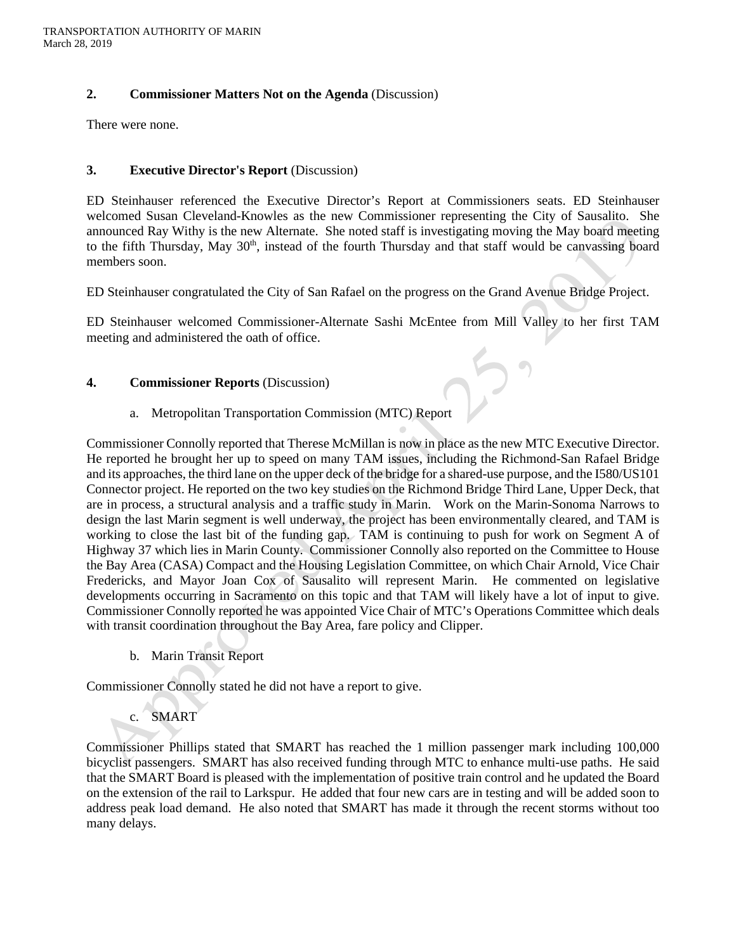#### **2. Commissioner Matters Not on the Agenda** (Discussion)

There were none.

# **3. Executive Director's Report** (Discussion)

ED Steinhauser referenced the Executive Director's Report at Commissioners seats. ED Steinhauser welcomed Susan Cleveland-Knowles as the new Commissioner representing the City of Sausalito. She announced Ray Withy is the new Alternate. She noted staff is investigating moving the May board meeting to the fifth Thursday, May 30<sup>th</sup>, instead of the fourth Thursday and that staff would be canvassing board members soon.

ED Steinhauser congratulated the City of San Rafael on the progress on the Grand Avenue Bridge Project.

ED Steinhauser welcomed Commissioner-Alternate Sashi McEntee from Mill Valley to her first TAM meeting and administered the oath of office.

## **4. Commissioner Reports** (Discussion)

## a. Metropolitan Transportation Commission (MTC) Report

Commissioner Connolly reported that Therese McMillan is now in place as the new MTC Executive Director. He reported he brought her up to speed on many TAM issues, including the Richmond-San Rafael Bridge and its approaches, the third lane on the upper deck of the bridge for a shared-use purpose, and the I580/US101 Connector project. He reported on the two key studies on the Richmond Bridge Third Lane, Upper Deck, that are in process, a structural analysis and a traffic study in Marin. Work on the Marin-Sonoma Narrows to design the last Marin segment is well underway, the project has been environmentally cleared, and TAM is working to close the last bit of the funding gap. TAM is continuing to push for work on Segment A of Highway 37 which lies in Marin County. Commissioner Connolly also reported on the Committee to House the Bay Area (CASA) Compact and the Housing Legislation Committee, on which Chair Arnold, Vice Chair Fredericks, and Mayor Joan Cox of Sausalito will represent Marin. He commented on legislative developments occurring in Sacramento on this topic and that TAM will likely have a lot of input to give. Commissioner Connolly reported he was appointed Vice Chair of MTC's Operations Committee which deals with transit coordination throughout the Bay Area, fare policy and Clipper.

b. Marin Transit Report

Commissioner Connolly stated he did not have a report to give.

# c. SMART

Commissioner Phillips stated that SMART has reached the 1 million passenger mark including 100,000 bicyclist passengers. SMART has also received funding through MTC to enhance multi-use paths. He said that the SMART Board is pleased with the implementation of positive train control and he updated the Board on the extension of the rail to Larkspur. He added that four new cars are in testing and will be added soon to address peak load demand. He also noted that SMART has made it through the recent storms without too many delays.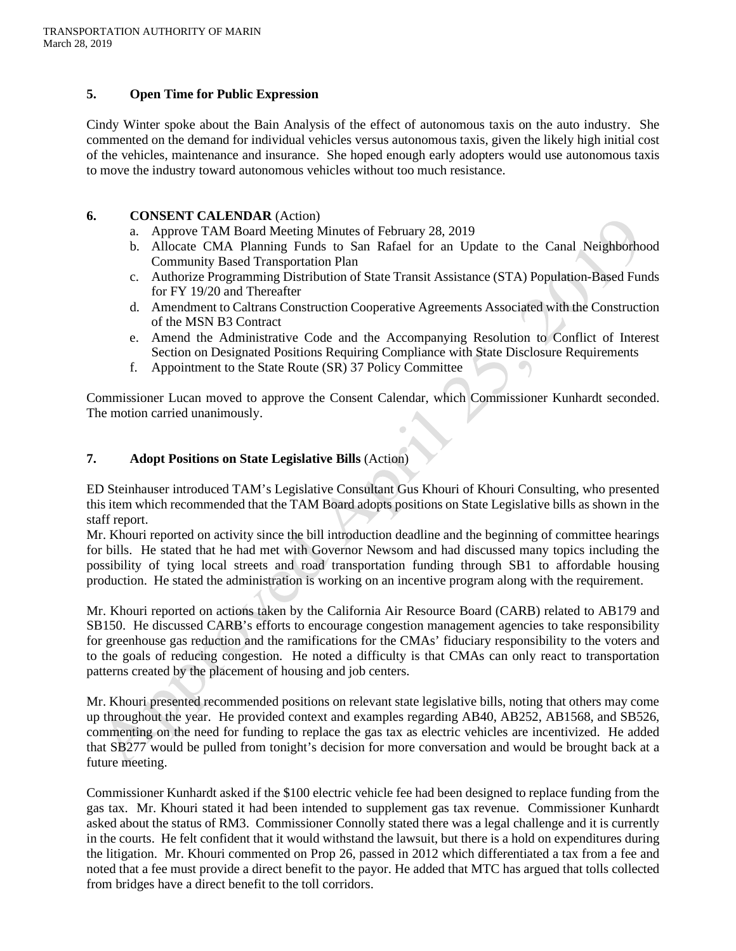#### **5. Open Time for Public Expression**

Cindy Winter spoke about the Bain Analysis of the effect of autonomous taxis on the auto industry. She commented on the demand for individual vehicles versus autonomous taxis, given the likely high initial cost of the vehicles, maintenance and insurance. She hoped enough early adopters would use autonomous taxis to move the industry toward autonomous vehicles without too much resistance.

#### **6. CONSENT CALENDAR** (Action)

- a. Approve TAM Board Meeting Minutes of February 28, 2019
- b. Allocate CMA Planning Funds to San Rafael for an Update to the Canal Neighborhood Community Based Transportation Plan
- c. Authorize Programming Distribution of State Transit Assistance (STA) Population-Based Funds for FY 19/20 and Thereafter
- d. Amendment to Caltrans Construction Cooperative Agreements Associated with the Construction of the MSN B3 Contract
- e. Amend the Administrative Code and the Accompanying Resolution to Conflict of Interest Section on Designated Positions Requiring Compliance with State Disclosure Requirements
- f. Appointment to the State Route (SR) 37 Policy Committee

Commissioner Lucan moved to approve the Consent Calendar, which Commissioner Kunhardt seconded. The motion carried unanimously.

#### **7. Adopt Positions on State Legislative Bills** (Action)

ED Steinhauser introduced TAM's Legislative Consultant Gus Khouri of Khouri Consulting, who presented this item which recommended that the TAM Board adopts positions on State Legislative bills as shown in the staff report.

Mr. Khouri reported on activity since the bill introduction deadline and the beginning of committee hearings for bills. He stated that he had met with Governor Newsom and had discussed many topics including the possibility of tying local streets and road transportation funding through SB1 to affordable housing production. He stated the administration is working on an incentive program along with the requirement.

Mr. Khouri reported on actions taken by the California Air Resource Board (CARB) related to AB179 and SB150. He discussed CARB's efforts to encourage congestion management agencies to take responsibility for greenhouse gas reduction and the ramifications for the CMAs' fiduciary responsibility to the voters and to the goals of reducing congestion. He noted a difficulty is that CMAs can only react to transportation patterns created by the placement of housing and job centers.

Mr. Khouri presented recommended positions on relevant state legislative bills, noting that others may come up throughout the year. He provided context and examples regarding AB40, AB252, AB1568, and SB526, commenting on the need for funding to replace the gas tax as electric vehicles are incentivized. He added that SB277 would be pulled from tonight's decision for more conversation and would be brought back at a future meeting.

Commissioner Kunhardt asked if the \$100 electric vehicle fee had been designed to replace funding from the gas tax. Mr. Khouri stated it had been intended to supplement gas tax revenue. Commissioner Kunhardt asked about the status of RM3. Commissioner Connolly stated there was a legal challenge and it is currently in the courts. He felt confident that it would withstand the lawsuit, but there is a hold on expenditures during the litigation. Mr. Khouri commented on Prop 26, passed in 2012 which differentiated a tax from a fee and noted that a fee must provide a direct benefit to the payor. He added that MTC has argued that tolls collected from bridges have a direct benefit to the toll corridors.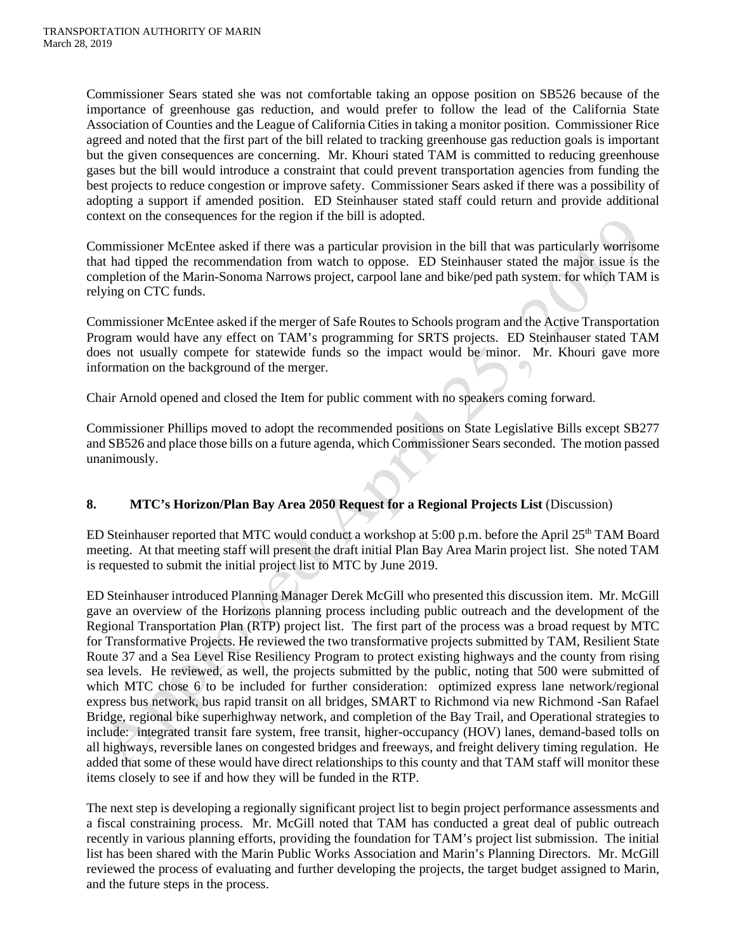Commissioner Sears stated she was not comfortable taking an oppose position on SB526 because of the importance of greenhouse gas reduction, and would prefer to follow the lead of the California State Association of Counties and the League of California Cities in taking a monitor position. Commissioner Rice agreed and noted that the first part of the bill related to tracking greenhouse gas reduction goals is important but the given consequences are concerning. Mr. Khouri stated TAM is committed to reducing greenhouse gases but the bill would introduce a constraint that could prevent transportation agencies from funding the best projects to reduce congestion or improve safety. Commissioner Sears asked if there was a possibility of adopting a support if amended position. ED Steinhauser stated staff could return and provide additional context on the consequences for the region if the bill is adopted.

Commissioner McEntee asked if there was a particular provision in the bill that was particularly worrisome that had tipped the recommendation from watch to oppose. ED Steinhauser stated the major issue is the completion of the Marin-Sonoma Narrows project, carpool lane and bike/ped path system. for which TAM is relying on CTC funds.

Commissioner McEntee asked if the merger of Safe Routes to Schools program and the Active Transportation Program would have any effect on TAM's programming for SRTS projects. ED Steinhauser stated TAM does not usually compete for statewide funds so the impact would be minor. Mr. Khouri gave more information on the background of the merger.

Chair Arnold opened and closed the Item for public comment with no speakers coming forward.

Commissioner Phillips moved to adopt the recommended positions on State Legislative Bills except SB277 and SB526 and place those bills on a future agenda, which Commissioner Sears seconded. The motion passed unanimously.

# **8. MTC's Horizon/Plan Bay Area 2050 Request for a Regional Projects List** (Discussion)

ED Steinhauser reported that MTC would conduct a workshop at 5:00 p.m. before the April 25<sup>th</sup> TAM Board meeting. At that meeting staff will present the draft initial Plan Bay Area Marin project list. She noted TAM is requested to submit the initial project list to MTC by June 2019.

ED Steinhauser introduced Planning Manager Derek McGill who presented this discussion item. Mr. McGill gave an overview of the Horizons planning process including public outreach and the development of the Regional Transportation Plan (RTP) project list. The first part of the process was a broad request by MTC for Transformative Projects. He reviewed the two transformative projects submitted by TAM, Resilient State Route 37 and a Sea Level Rise Resiliency Program to protect existing highways and the county from rising sea levels. He reviewed, as well, the projects submitted by the public, noting that 500 were submitted of which MTC chose 6 to be included for further consideration: optimized express lane network/regional express bus network, bus rapid transit on all bridges, SMART to Richmond via new Richmond -San Rafael Bridge, regional bike superhighway network, and completion of the Bay Trail, and Operational strategies to include: integrated transit fare system, free transit, higher-occupancy (HOV) lanes, demand-based tolls on all highways, reversible lanes on congested bridges and freeways, and freight delivery timing regulation. He added that some of these would have direct relationships to this county and that TAM staff will monitor these items closely to see if and how they will be funded in the RTP.

The next step is developing a regionally significant project list to begin project performance assessments and a fiscal constraining process. Mr. McGill noted that TAM has conducted a great deal of public outreach recently in various planning efforts, providing the foundation for TAM's project list submission. The initial list has been shared with the Marin Public Works Association and Marin's Planning Directors. Mr. McGill reviewed the process of evaluating and further developing the projects, the target budget assigned to Marin, and the future steps in the process.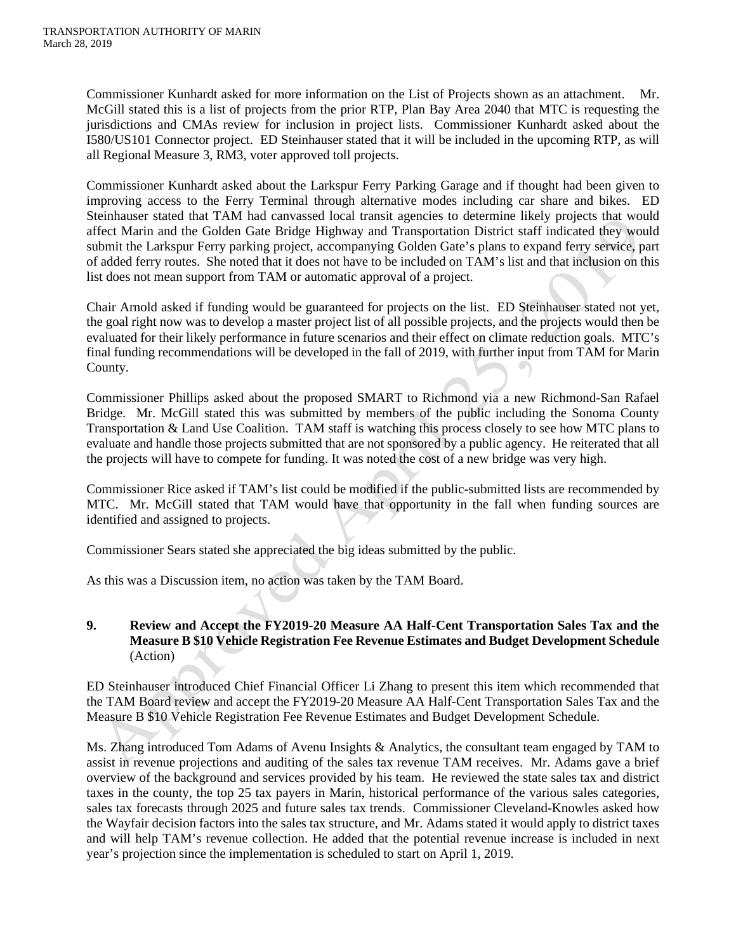Commissioner Kunhardt asked for more information on the List of Projects shown as an attachment. Mr. McGill stated this is a list of projects from the prior RTP, Plan Bay Area 2040 that MTC is requesting the jurisdictions and CMAs review for inclusion in project lists. Commissioner Kunhardt asked about the I580/US101 Connector project. ED Steinhauser stated that it will be included in the upcoming RTP, as will all Regional Measure 3, RM3, voter approved toll projects.

Commissioner Kunhardt asked about the Larkspur Ferry Parking Garage and if thought had been given to improving access to the Ferry Terminal through alternative modes including car share and bikes. ED Steinhauser stated that TAM had canvassed local transit agencies to determine likely projects that would affect Marin and the Golden Gate Bridge Highway and Transportation District staff indicated they would submit the Larkspur Ferry parking project, accompanying Golden Gate's plans to expand ferry service, part of added ferry routes. She noted that it does not have to be included on TAM's list and that inclusion on this list does not mean support from TAM or automatic approval of a project.

Chair Arnold asked if funding would be guaranteed for projects on the list. ED Steinhauser stated not yet, the goal right now was to develop a master project list of all possible projects, and the projects would then be evaluated for their likely performance in future scenarios and their effect on climate reduction goals. MTC's final funding recommendations will be developed in the fall of 2019, with further input from TAM for Marin County.

Commissioner Phillips asked about the proposed SMART to Richmond via a new Richmond-San Rafael Bridge. Mr. McGill stated this was submitted by members of the public including the Sonoma County Transportation & Land Use Coalition. TAM staff is watching this process closely to see how MTC plans to evaluate and handle those projects submitted that are not sponsored by a public agency. He reiterated that all the projects will have to compete for funding. It was noted the cost of a new bridge was very high.

Commissioner Rice asked if TAM's list could be modified if the public-submitted lists are recommended by MTC. Mr. McGill stated that TAM would have that opportunity in the fall when funding sources are identified and assigned to projects.

Commissioner Sears stated she appreciated the big ideas submitted by the public.

As this was a Discussion item, no action was taken by the TAM Board.

# **9. Review and Accept the FY2019-20 Measure AA Half-Cent Transportation Sales Tax and the Measure B \$10 Vehicle Registration Fee Revenue Estimates and Budget Development Schedule**  (Action)

ED Steinhauser introduced Chief Financial Officer Li Zhang to present this item which recommended that the TAM Board review and accept the FY2019-20 Measure AA Half-Cent Transportation Sales Tax and the Measure B \$10 Vehicle Registration Fee Revenue Estimates and Budget Development Schedule.

Ms. Zhang introduced Tom Adams of Avenu Insights & Analytics, the consultant team engaged by TAM to assist in revenue projections and auditing of the sales tax revenue TAM receives. Mr. Adams gave a brief overview of the background and services provided by his team. He reviewed the state sales tax and district taxes in the county, the top 25 tax payers in Marin, historical performance of the various sales categories, sales tax forecasts through 2025 and future sales tax trends. Commissioner Cleveland-Knowles asked how the Wayfair decision factors into the sales tax structure, and Mr. Adams stated it would apply to district taxes and will help TAM's revenue collection. He added that the potential revenue increase is included in next year's projection since the implementation is scheduled to start on April 1, 2019.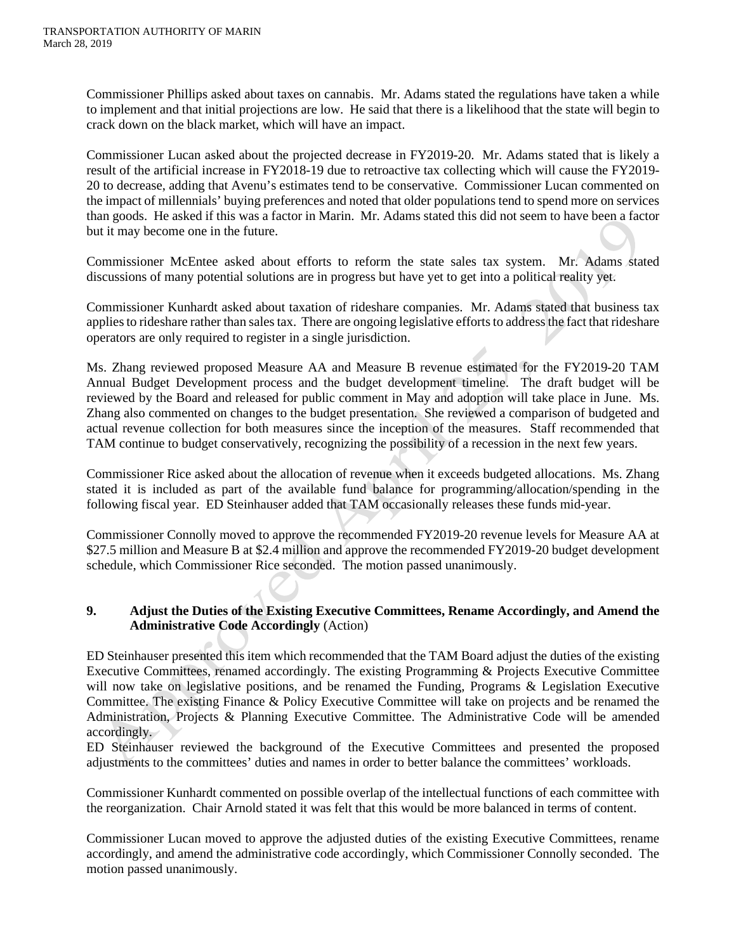Commissioner Phillips asked about taxes on cannabis. Mr. Adams stated the regulations have taken a while to implement and that initial projections are low. He said that there is a likelihood that the state will begin to crack down on the black market, which will have an impact.

Commissioner Lucan asked about the projected decrease in FY2019-20. Mr. Adams stated that is likely a result of the artificial increase in FY2018-19 due to retroactive tax collecting which will cause the FY2019- 20 to decrease, adding that Avenu's estimates tend to be conservative. Commissioner Lucan commented on the impact of millennials' buying preferences and noted that older populations tend to spend more on services than goods. He asked if this was a factor in Marin. Mr. Adams stated this did not seem to have been a factor but it may become one in the future.

Commissioner McEntee asked about efforts to reform the state sales tax system. Mr. Adams stated discussions of many potential solutions are in progress but have yet to get into a political reality yet.

Commissioner Kunhardt asked about taxation of rideshare companies. Mr. Adams stated that business tax applies to rideshare rather than sales tax. There are ongoing legislative efforts to address the fact that rideshare operators are only required to register in a single jurisdiction.

Ms. Zhang reviewed proposed Measure AA and Measure B revenue estimated for the FY2019-20 TAM Annual Budget Development process and the budget development timeline. The draft budget will be reviewed by the Board and released for public comment in May and adoption will take place in June. Ms. Zhang also commented on changes to the budget presentation. She reviewed a comparison of budgeted and actual revenue collection for both measures since the inception of the measures. Staff recommended that TAM continue to budget conservatively, recognizing the possibility of a recession in the next few years.

Commissioner Rice asked about the allocation of revenue when it exceeds budgeted allocations. Ms. Zhang stated it is included as part of the available fund balance for programming/allocation/spending in the following fiscal year. ED Steinhauser added that TAM occasionally releases these funds mid-year.

Commissioner Connolly moved to approve the recommended FY2019-20 revenue levels for Measure AA at \$27.5 million and Measure B at \$2.4 million and approve the recommended FY2019-20 budget development schedule, which Commissioner Rice seconded. The motion passed unanimously.

## **9. Adjust the Duties of the Existing Executive Committees, Rename Accordingly, and Amend the Administrative Code Accordingly** (Action)

ED Steinhauser presented this item which recommended that the TAM Board adjust the duties of the existing Executive Committees, renamed accordingly. The existing Programming & Projects Executive Committee will now take on legislative positions, and be renamed the Funding, Programs & Legislation Executive Committee. The existing Finance & Policy Executive Committee will take on projects and be renamed the Administration, Projects & Planning Executive Committee. The Administrative Code will be amended accordingly.

ED Steinhauser reviewed the background of the Executive Committees and presented the proposed adjustments to the committees' duties and names in order to better balance the committees' workloads.

Commissioner Kunhardt commented on possible overlap of the intellectual functions of each committee with the reorganization. Chair Arnold stated it was felt that this would be more balanced in terms of content.

Commissioner Lucan moved to approve the adjusted duties of the existing Executive Committees, rename accordingly, and amend the administrative code accordingly, which Commissioner Connolly seconded. The motion passed unanimously.